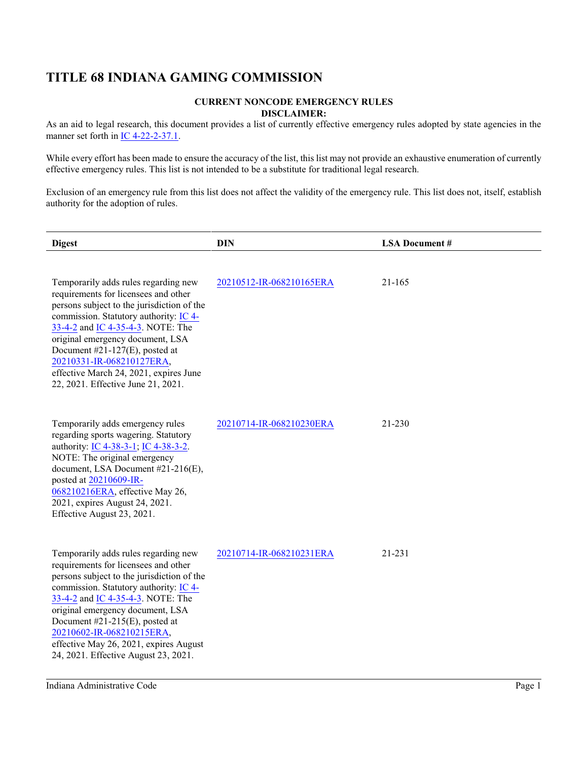## **TITLE 68 INDIANA GAMING COMMISSION**

## **CURRENT NONCODE EMERGENCY RULES DISCLAIMER:**

As an aid to legal research, this document provides a list of currently effective emergency rules adopted by state agencies in the manner set forth in [IC 4-22-2-37.1](http://iga.in.gov/legislative/laws/2021/ic/titles/4/#4-22-2-37.1).

While every effort has been made to ensure the accuracy of the list, this list may not provide an exhaustive enumeration of currently effective emergency rules. This list is not intended to be a substitute for traditional legal research.

Exclusion of an emergency rule from this list does not affect the validity of the emergency rule. This list does not, itself, establish authority for the adoption of rules.

| <b>Digest</b>                                                                                                                                                                                                                                                                                                                                                                                   | <b>DIN</b>               | <b>LSA Document #</b> |
|-------------------------------------------------------------------------------------------------------------------------------------------------------------------------------------------------------------------------------------------------------------------------------------------------------------------------------------------------------------------------------------------------|--------------------------|-----------------------|
| Temporarily adds rules regarding new<br>requirements for licensees and other<br>persons subject to the jurisdiction of the<br>commission. Statutory authority: IC 4-<br>33-4-2 and IC 4-35-4-3. NOTE: The<br>original emergency document, LSA<br>Document $#21-127(E)$ , posted at<br>20210331-IR-068210127ERA,<br>effective March 24, 2021, expires June<br>22, 2021. Effective June 21, 2021. | 20210512-IR-068210165ERA | 21-165                |
| Temporarily adds emergency rules<br>regarding sports wagering. Statutory<br>authority: IC 4-38-3-1; IC 4-38-3-2.<br>NOTE: The original emergency<br>document, LSA Document #21-216(E),<br>posted at 20210609-IR-<br>068210216ERA, effective May 26,<br>2021, expires August 24, 2021.<br>Effective August 23, 2021.                                                                             | 20210714-IR-068210230ERA | 21-230                |
| Temporarily adds rules regarding new<br>requirements for licensees and other<br>persons subject to the jurisdiction of the<br>commission. Statutory authority: IC 4-<br>33-4-2 and IC 4-35-4-3. NOTE: The<br>original emergency document, LSA<br>Document #21-215(E), posted at<br>20210602-IR-068210215ERA,<br>effective May 26, 2021, expires August<br>24, 2021. Effective August 23, 2021.  | 20210714-IR-068210231ERA | 21-231                |